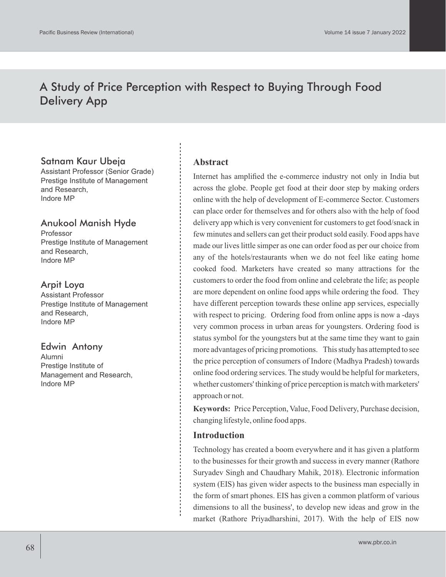# A Study of Price Perception with Respect to Buying Through Food Delivery App

# Satnam Kaur Ubeja

Assistant Professor (Senior Grade) Prestige Institute of Management and Research, Indore MP

### Anukool Manish Hyde

Professor Prestige Institute of Management and Research, Indore MP

# Arpit Loya

Assistant Professor Prestige Institute of Management and Research, Indore MP

### Edwin Antony

Alumni Prestige Institute of Management and Research, Indore MP

### **Abstract**

Internet has amplified the e-commerce industry not only in India but across the globe. People get food at their door step by making orders online with the help of development of E-commerce Sector. Customers can place order for themselves and for others also with the help of food delivery app which is very convenient for customers to get food/snack in few minutes and sellers can get their product sold easily. Food apps have made our lives little simper as one can order food as per our choice from any of the hotels/restaurants when we do not feel like eating home cooked food. Marketers have created so many attractions for the customers to order the food from online and celebrate the life; as people are more dependent on online food apps while ordering the food. They have different perception towards these online app services, especially with respect to pricing. Ordering food from online apps is now a -days very common process in urban areas for youngsters. Ordering food is status symbol for the youngsters but at the same time they want to gain more advantages of pricing promotions. This study has attempted to see the price perception of consumers of Indore (Madhya Pradesh) towards online food ordering services. The study would be helpful for marketers, whether customers' thinking of price perception is match with marketers' approach or not.

**Keywords:** Price Perception, Value, Food Delivery, Purchase decision, changing lifestyle, online food apps.

#### **Introduction**

Technology has created a boom everywhere and it has given a platform to the businesses for their growth and success in every manner (Rathore Suryadev Singh and Chaudhary Mahik, 2018). Electronic information system (EIS) has given wider aspects to the business man especially in the form of smart phones. EIS has given a common platform of various dimensions to all the business', to develop new ideas and grow in the market (Rathore Priyadharshini, 2017). With the help of EIS now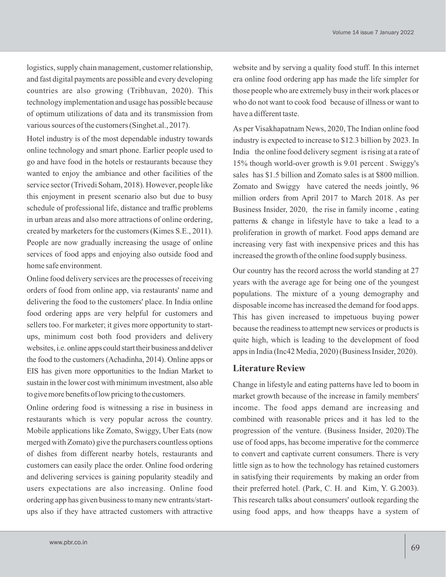logistics, supply chain management, customer relationship, and fast digital payments are possible and every developing countries are also growing (Tribhuvan, 2020). This technology implementation and usage has possible because of optimum utilizations of data and its transmission from various sources of the customers (Singhet.al., 2017).

Hotel industry is of the most dependable industry towards online technology and smart phone. Earlier people used to go and have food in the hotels or restaurants because they wanted to enjoy the ambiance and other facilities of the service sector (Trivedi Soham, 2018). However, people like this enjoyment in present scenario also but due to busy schedule of professional life, distance and traffic problems in urban areas and also more attractions of online ordering, created by marketers for the customers (Kimes S.E., 2011). People are now gradually increasing the usage of online services of food apps and enjoying also outside food and home safe environment.

Online food delivery services are the processes of receiving orders of food from online app, via restaurants' name and delivering the food to the customers' place. In India online food ordering apps are very helpful for customers and sellers too. For marketer; it gives more opportunity to startups, minimum cost both food providers and delivery websites, i.e. online apps could start their business and deliver the food to the customers(Achadinha, 2014). Online apps or EIS has given more opportunities to the Indian Market to sustain in the lower cost with minimum investment, also able to give more benefits of low pricing to the customers.

Online ordering food is witnessing a rise in business in restaurants which is very popular across the country. Mobile applications like Zomato, Swiggy, Uber Eats (now merged with Zomato) give the purchasers countless options of dishes from different nearby hotels, restaurants and customers can easily place the order. Online food ordering and delivering services is gaining popularity steadily and users expectations are also increasing. Online food ordering app has given business to many new entrants/startups also if they have attracted customers with attractive website and by serving a quality food stuff. In this internet era online food ordering app has made the life simpler for those people who are extremely busy in their work places or who do not want to cook food because of illness or want to have a different taste.

As per Visakhapatnam News, 2020, The Indian online food industry is expected to increase to \$12.3 billion by 2023. In India the online food delivery segment is rising at a rate of 15% though world-over growth is 9.01 percent . Swiggy's sales has \$1.5 billion and Zomato sales is at \$800 million. Zomato and Swiggy have catered the needs jointly, 96 million orders from April 2017 to March 2018. As per Business Insider, 2020, the rise in family income , eating patterns & change in lifestyle have to take a lead to a proliferation in growth of market. Food apps demand are increasing very fast with inexpensive prices and this has increased the growth of the online food supply business.

Our country has the record across the world standing at 27 years with the average age for being one of the youngest populations. The mixture of a young demography and disposable income has increased the demand for food apps. This has given increased to impetuous buying power because the readiness to attempt new services or products is quite high, which is leading to the development of food apps in India (Inc42 Media, 2020) (Business Insider, 2020).

### **Literature Review**

Change in lifestyle and eating patterns have led to boom in market growth because of the increase in family members' income. The food apps demand are increasing and combined with reasonable prices and it has led to the progression of the venture. (Business Insider, 2020).The use of food apps, has become imperative for the commerce to convert and captivate current consumers. There is very little sign as to how the technology has retained customers in satisfying their requirements by making an order from their preferred hotel. (Park, C. H. and Kim, Y. G.2003). This research talks about consumers' outlook regarding the using food apps, and how theapps have a system of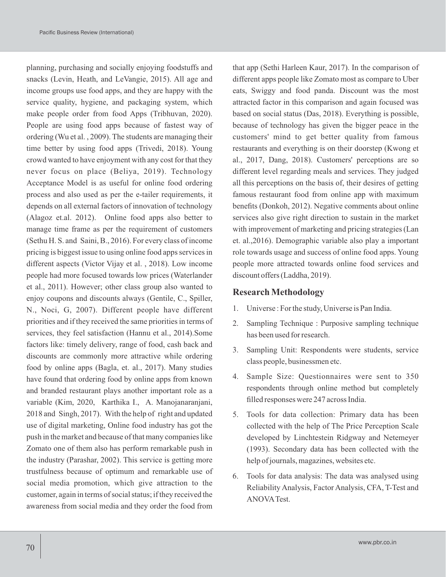planning, purchasing and socially enjoying foodstuffs and snacks (Levin, Heath, and LeVangie, 2015). All age and income groups use food apps, and they are happy with the service quality, hygiene, and packaging system, which make people order from food Apps (Tribhuvan, 2020). People are using food apps because of fastest way of ordering (Wu et al. , 2009). The students are managing their time better by using food apps (Trivedi, 2018). Young crowd wanted to have enjoyment with any cost for that they never focus on place (Beliya, 2019). Technology Acceptance Model is as useful for online food ordering process and also used as per the e-tailer requirements, it depends on all external factors of innovation of technology (Alagoz et.al. 2012). Online food apps also better to manage time frame as per the requirement of customers (Sethu H. S. and Saini, B., 2016). For every class of income pricing is biggest issue to using online food apps services in different aspects (Victor Vijay et al. , 2018). Low income people had more focused towards low prices (Waterlander et al., 2011). However; other class group also wanted to enjoy coupons and discounts always (Gentile, C., Spiller, N., Noci, G, 2007). Different people have different priorities and if they received the same priorities in terms of services, they feel satisfaction (Hannu et al., 2014).Some factors like: timely delivery, range of food, cash back and discounts are commonly more attractive while ordering food by online apps (Bagla, et. al., 2017). Many studies have found that ordering food by online apps from known and branded restaurant plays another important role as a variable (Kim, 2020, Karthika I., A. Manojanaranjani, 2018 and Singh, 2017). With the help of right and updated use of digital marketing, Online food industry has got the push in the market and because of that many companies like Zomato one of them also has perform remarkable push in the industry (Parashar, 2002). This service is getting more trustfulness because of optimum and remarkable use of social media promotion, which give attraction to the customer, again in terms of social status; if they received the awareness from social media and they order the food from

that app (Sethi Harleen Kaur, 2017). In the comparison of different apps people like Zomato most as compare to Uber eats, Swiggy and food panda. Discount was the most attracted factor in this comparison and again focused was based on social status (Das, 2018). Everything is possible, because of technology has given the bigger peace in the customers' mind to get better quality from famous restaurants and everything is on their doorstep (Kwong et al., 2017, Dang, 2018). Customers' perceptions are so different level regarding meals and services. They judged all this perceptions on the basis of, their desires of getting famous restaurant food from online app with maximum benefits (Donkoh, 2012). Negative comments about online services also give right direction to sustain in the market with improvement of marketing and pricing strategies (Lan et. al.,2016). Demographic variable also play a important role towards usage and success of online food apps. Young people more attracted towards online food services and discount offers (Laddha, 2019).

### **Research Methodology**

- 1. Universe : For the study, Universe is Pan India.
- 2. Sampling Technique : Purposive sampling technique has been used for research.
- 3. Sampling Unit: Respondents were students, service class people, businessmen etc.
- 4. Sample Size: Questionnaires were sent to 350 respondents through online method but completely filled responses were 247 across India.
- 5. Tools for data collection: Primary data has been collected with the help of The Price Perception Scale developed by Linchtestein Ridgway and Netemeyer (1993). Secondary data has been collected with the help of journals, magazines, websites etc.
- 6. Tools for data analysis: The data was analysed using Reliability Analysis, Factor Analysis, CFA, T-Test and ANOVATest.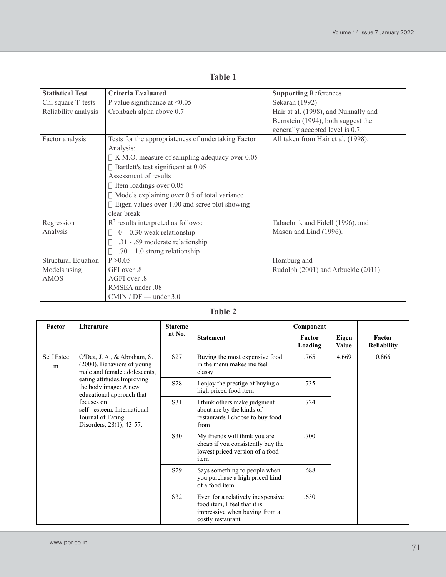| <b>Statistical Test</b>    | Criteria Evaluated                                  | <b>Supporting References</b>         |
|----------------------------|-----------------------------------------------------|--------------------------------------|
| Chi square T-tests         | P value significance at $\leq 0.05$                 | Sekaran (1992)                       |
| Reliability analysis       | Cronbach alpha above 0.7                            | Hair at al. (1998), and Nunnally and |
|                            |                                                     | Bernstein (1994), both suggest the   |
|                            |                                                     | generally accepted level is 0.7.     |
| Factor analysis            | Tests for the appropriateness of undertaking Factor | All taken from Hair et al. (1998).   |
|                            | Analysis:                                           |                                      |
|                            | K.M.O. measure of sampling adequacy over 0.05       |                                      |
|                            | Bartlett's test significant at 0.05                 |                                      |
|                            | Assessment of results                               |                                      |
|                            | Item loadings over 0.05                             |                                      |
|                            | Models explaining over 0.5 of total variance        |                                      |
|                            | Eigen values over 1.00 and scree plot showing       |                                      |
|                            | clear break                                         |                                      |
| Regression                 | $R2$ results interpreted as follows:                | Tabachnik and Fidell (1996), and     |
| Analysis                   | $0 - 0.30$ weak relationship                        | Mason and Lind (1996).               |
|                            | .31 - .69 moderate relationship                     |                                      |
|                            | $.70 - 1.0$ strong relationship                     |                                      |
| <b>Structural Equation</b> | P > 0.05                                            | Homburg and                          |
| Models using               | GFI over .8                                         | Rudolph (2001) and Arbuckle (2011).  |
| <b>AMOS</b>                | AGFI over .8                                        |                                      |
|                            | RMSEA under .08                                     |                                      |
|                            | $CMIN / DF$ — under 3.0                             |                                      |

# **Table 1**

# **Table 2**

| Factor          | Literature                                                                                                                                                                                                                                                                  | <b>Stateme</b><br>nt No. |                                                                                                                          | Component         |                       |                              |
|-----------------|-----------------------------------------------------------------------------------------------------------------------------------------------------------------------------------------------------------------------------------------------------------------------------|--------------------------|--------------------------------------------------------------------------------------------------------------------------|-------------------|-----------------------|------------------------------|
|                 |                                                                                                                                                                                                                                                                             |                          | <b>Statement</b>                                                                                                         | Factor<br>Loading | Eigen<br><b>Value</b> | Factor<br><b>Reliability</b> |
| Self Estee<br>m | O'Dea, J. A., & Abraham, S.<br>(2000). Behaviors of young<br>male and female adolescents,<br>eating attitudes, Improving<br>the body image: A new<br>educational approach that<br>focuses on<br>self-esteem. International<br>Journal of Eating<br>Disorders, 28(1), 43-57. | S <sub>27</sub>          | Buying the most expensive food<br>in the menu makes me feel<br>classy                                                    | .765              | 4.669                 | 0.866                        |
|                 |                                                                                                                                                                                                                                                                             | S <sub>28</sub>          | I enjoy the prestige of buying a<br>high priced food item                                                                | .735              |                       |                              |
|                 |                                                                                                                                                                                                                                                                             | S31                      | I think others make judgment<br>about me by the kinds of<br>restaurants I choose to buy food<br>from                     | .724              |                       |                              |
|                 |                                                                                                                                                                                                                                                                             | S30                      | My friends will think you are<br>cheap if you consistently buy the<br>lowest priced version of a food<br>item            | .700              |                       |                              |
|                 |                                                                                                                                                                                                                                                                             | S <sub>29</sub>          | Says something to people when<br>you purchase a high priced kind<br>of a food item                                       | .688              |                       |                              |
|                 |                                                                                                                                                                                                                                                                             | S32                      | Even for a relatively inexpensive.<br>food item, I feel that it is<br>impressive when buying from a<br>costly restaurant | .630              |                       |                              |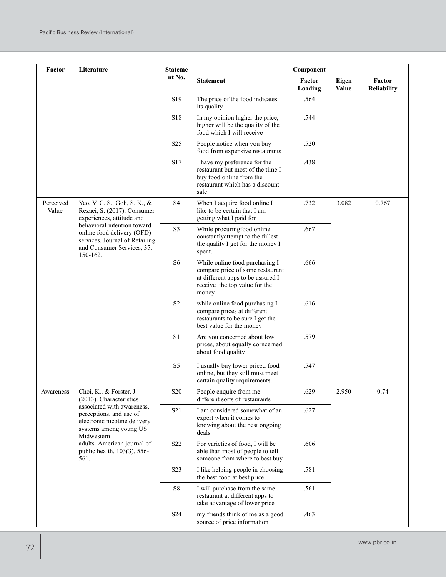| Factor             | Literature                                                                                                                                                                                                                                                | <b>Stateme</b>   |                                                                                                                                                    | Component         |                       |                       |
|--------------------|-----------------------------------------------------------------------------------------------------------------------------------------------------------------------------------------------------------------------------------------------------------|------------------|----------------------------------------------------------------------------------------------------------------------------------------------------|-------------------|-----------------------|-----------------------|
|                    |                                                                                                                                                                                                                                                           | nt No.           | <b>Statement</b>                                                                                                                                   | Factor<br>Loading | Eigen<br><b>Value</b> | Factor<br>Reliability |
|                    |                                                                                                                                                                                                                                                           | S <sub>19</sub>  | The price of the food indicates<br>its quality                                                                                                     | .564              |                       |                       |
|                    |                                                                                                                                                                                                                                                           | S18              | In my opinion higher the price,<br>higher will be the quality of the<br>food which I will receive                                                  | .544              |                       |                       |
|                    |                                                                                                                                                                                                                                                           | S <sub>25</sub>  | People notice when you buy<br>food from expensive restaurants                                                                                      | .520              |                       |                       |
|                    |                                                                                                                                                                                                                                                           | S17              | I have my preference for the<br>restaurant but most of the time I<br>buy food online from the<br>restaurant which has a discount<br>sale           | .438              |                       |                       |
| Perceived<br>Value | Yeo, V. C. S., Goh, S. K., &<br>Rezaei, S. (2017). Consumer<br>experiences, attitude and<br>behavioral intention toward<br>online food delivery (OFD)<br>services. Journal of Retailing<br>and Consumer Services, 35,<br>150-162.                         | S <sub>4</sub>   | When I acquire food online I<br>like to be certain that I am<br>getting what I paid for                                                            | .732              | 3.082                 | 0.767                 |
|                    |                                                                                                                                                                                                                                                           | S <sub>3</sub>   | While procuringfood online I<br>constantlyattempt to the fullest<br>the quality I get for the money I<br>spent.                                    | .667              |                       |                       |
|                    |                                                                                                                                                                                                                                                           | S <sub>6</sub>   | While online food purchasing I<br>compare price of same restaurant<br>at different apps to be assured I<br>receive the top value for the<br>money. | .666              |                       |                       |
|                    |                                                                                                                                                                                                                                                           | S <sub>2</sub>   | while online food purchasing I<br>compare prices at different<br>restaurants to be sure I get the<br>best value for the money                      | .616              |                       |                       |
|                    |                                                                                                                                                                                                                                                           | S1               | Are you concerned about low<br>prices, about equally corncerned<br>about food quality                                                              | .579              |                       |                       |
|                    |                                                                                                                                                                                                                                                           | S <sub>5</sub>   | I usually buy lower priced food<br>online, but they still must meet<br>certain quality requirements.                                               | .547              |                       |                       |
| Awareness          | Choi, K., & Forster, J.<br>(2013). Characteristics<br>associated with awareness,<br>perceptions, and use of<br>electronic nicotine delivery<br>systems among young US<br>Midwestern<br>adults. American journal of<br>public health, 103(3), 556-<br>561. | <b>S20</b>       | People enquire from me<br>different sorts of restaurants                                                                                           | .629              | 2.950                 | 0.74                  |
|                    |                                                                                                                                                                                                                                                           | S <sub>2</sub> 1 | I am considered somewhat of an<br>expert when it comes to<br>knowing about the best ongoing<br>deals                                               | .627              |                       |                       |
|                    |                                                                                                                                                                                                                                                           | S <sub>22</sub>  | For varieties of food, I will be<br>able than most of people to tell<br>someone from where to best buy                                             | .606              |                       |                       |
|                    |                                                                                                                                                                                                                                                           | S <sub>2</sub> 3 | I like helping people in choosing<br>the best food at best price                                                                                   | .581              |                       |                       |
|                    |                                                                                                                                                                                                                                                           | S8               | I will purchase from the same<br>restaurant at different apps to<br>take advantage of lower price                                                  | .561              |                       |                       |
|                    |                                                                                                                                                                                                                                                           | S <sub>24</sub>  | my friends think of me as a good<br>source of price information                                                                                    | .463              |                       |                       |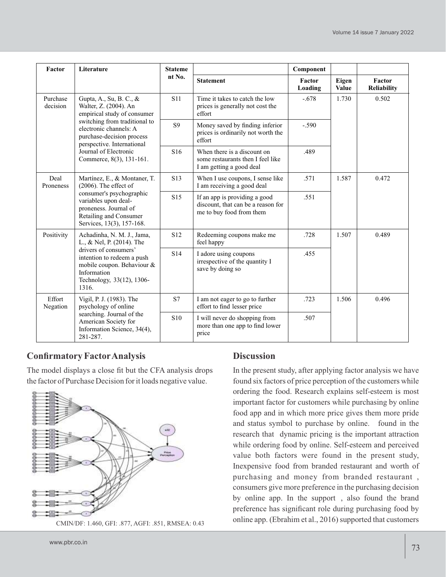| Factor               | Literature                                                                                                                                                                                                                                                 | <b>Stateme</b><br>nt No. |                                                                                                 | Component         |                |                              |
|----------------------|------------------------------------------------------------------------------------------------------------------------------------------------------------------------------------------------------------------------------------------------------------|--------------------------|-------------------------------------------------------------------------------------------------|-------------------|----------------|------------------------------|
|                      |                                                                                                                                                                                                                                                            |                          | <b>Statement</b>                                                                                | Factor<br>Loading | Eigen<br>Value | Factor<br><b>Reliability</b> |
| Purchase<br>decision | Gupta, A., Su, B. C., &<br>Walter, Z. (2004). An<br>empirical study of consumer<br>switching from traditional to<br>electronic channels: A<br>purchase-decision process<br>perspective. International<br>Journal of Electronic<br>Commerce, 8(3), 131-161. | <b>S11</b>               | Time it takes to catch the low<br>prices is generally not cost the<br>effort                    | $-.678$           | 1.730          | 0.502                        |
|                      |                                                                                                                                                                                                                                                            | S <sub>9</sub>           | Money saved by finding inferior<br>prices is ordinarily not worth the<br>effort                 | $-.590$           |                |                              |
|                      |                                                                                                                                                                                                                                                            | S <sub>16</sub>          | When there is a discount on<br>some restaurants then I feel like<br>I am getting a good deal    | .489              |                |                              |
| Deal<br>Proneness    | Martínez, E., & Montaner, T.<br>$(2006)$ . The effect of<br>consumer's psychographic<br>variables upon deal-<br>proneness. Journal of<br>Retailing and Consumer<br>Services, 13(3), 157-168.                                                               | S <sub>13</sub>          | When I use coupons, I sense like<br>I am receiving a good deal                                  | .571              | 1.587          | 0.472                        |
|                      |                                                                                                                                                                                                                                                            | S <sub>15</sub>          | If an app is providing a good<br>discount, that can be a reason for<br>me to buy food from them | .551              |                |                              |
| Positivity           | Achadinha, N. M. J., Jama,<br>L., & Nel, P. (2014). The<br>drivers of consumers'<br>intention to redeem a push<br>mobile coupon. Behaviour &<br>Information<br>Technology, 33(12), 1306-<br>1316.                                                          | S <sub>12</sub>          | Redeeming coupons make me<br>feel happy                                                         | .728              | 1.507          | 0.489                        |
|                      |                                                                                                                                                                                                                                                            | S <sub>14</sub>          | I adore using coupons<br>irrespective of the quantity I<br>save by doing so                     | .455              |                |                              |
| Effort<br>Negation   | Vigil, P. J. (1983). The<br>psychology of online<br>searching. Journal of the<br>American Society for<br>Information Science, 34(4),<br>281-287.                                                                                                           | S7                       | I am not eager to go to further<br>effort to find lesser price                                  | .723              | 1.506          | 0.496                        |
|                      |                                                                                                                                                                                                                                                            | S <sub>10</sub>          | I will never do shopping from<br>more than one app to find lower<br>price                       | .507              |                |                              |

# **Confirmatory FactorAnalysis**

The model displays a close fit but the CFA analysis drops the factor of Purchase Decision for it loads negative value.



### **Discussion**

In the present study, after applying factor analysis we have found six factors of price perception of the customers while ordering the food. Research explains self-esteem is most important factor for customers while purchasing by online food app and in which more price gives them more pride and status symbol to purchase by online. found in the research that dynamic pricing is the important attraction while ordering food by online. Self-esteem and perceived value both factors were found in the present study, Inexpensive food from branded restaurant and worth of purchasing and money from branded restaurant , consumers give more preference in the purchasing decision by online app. In the support , also found the brand preference has significant role during purchasing food by online app. (Ebrahim et al., 2016) supported that customers CMIN/DF: 1.460, GFI: .877, AGFI: .851, RMSEA: 0.43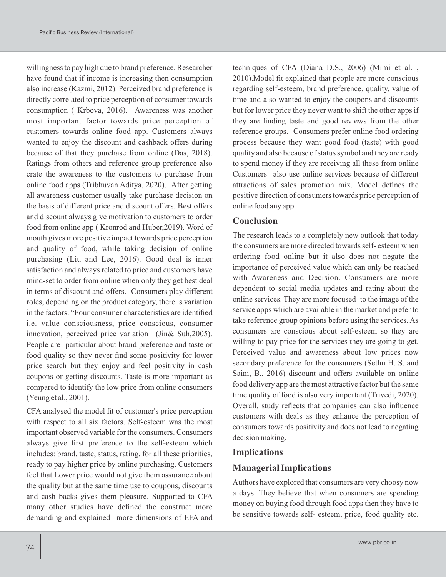willingness to pay high due to brand preference. Researcher have found that if income is increasing then consumption also increase (Kazmi, 2012). Perceived brand preference is directly correlated to price perception of consumer towards consumption ( Krbova, 2016). Awareness was another most important factor towards price perception of customers towards online food app. Customers always wanted to enjoy the discount and cashback offers during because of that they purchase from online (Das, 2018). Ratings from others and reference group preference also crate the awareness to the customers to purchase from online food apps (Tribhuvan Aditya, 2020). After getting all awareness customer usually take purchase decision on the basis of different price and discount offers. Best offers and discount always give motivation to customers to order food from online app ( Kronrod and Huber,2019). Word of mouth gives more positive impact towards price perception and quality of food, while taking decision of online purchasing (Liu and Lee, 2016). Good deal is inner satisfaction and always related to price and customers have mind-set to order from online when only they get best deal in terms of discount and offers. Consumers play different roles, depending on the product category, there is variation in the factors. "Four consumer characteristics are identified i.e. value consciousness, price conscious, consumer innovation, perceived price variation (Jin& Suh,2005). People are particular about brand preference and taste or food quality so they never find some positivity for lower price search but they enjoy and feel positivity in cash coupons or getting discounts. Taste is more important as compared to identify the low price from online consumers (Yeung et al., 2001).

CFA analysed the model fit of customer's price perception with respect to all six factors. Self-esteem was the most important observed variable for the consumers. Consumers always give first preference to the self-esteem which includes: brand, taste, status, rating, for all these priorities, ready to pay higher price by online purchasing. Customers feel that Lower price would not give them assurance about the quality but at the same time use to coupons, discounts and cash backs gives them pleasure. Supported to CFA many other studies have defined the construct more demanding and explained more dimensions of EFA and

techniques of CFA (Diana D.S., 2006) (Mimi et al. , 2010).Model fit explained that people are more conscious regarding self-esteem, brand preference, quality, value of time and also wanted to enjoy the coupons and discounts but for lower price they never want to shift the other apps if they are finding taste and good reviews from the other reference groups. Consumers prefer online food ordering process because they want good food (taste) with good quality and also because of status symbol and they are ready to spend money if they are receiving all these from online Customers also use online services because of different attractions of sales promotion mix. Model defines the positive direction of consumers towards price perception of online food any app.

### **Conclusion**

The research leads to a completely new outlook that today the consumers are more directed towards self- esteem when ordering food online but it also does not negate the importance of perceived value which can only be reached with Awareness and Decision. Consumers are more dependent to social media updates and rating about the online services. They are more focused to the image of the service apps which are available in the market and prefer to take reference group opinions before using the services. As consumers are conscious about self-esteem so they are willing to pay price for the services they are going to get. Perceived value and awareness about low prices now secondary preference for the consumers (Sethu H. S. and Saini, B., 2016) discount and offers available on online food delivery app are the most attractive factor but the same time quality of food is also very important (Trivedi, 2020). Overall, study reflects that companies can also influence customers with deals as they enhance the perception of consumers towards positivity and does not lead to negating decision making.

#### **Implications**

### **Managerial Implications**

Authors have explored that consumers are very choosy now a days. They believe that when consumers are spending money on buying food through food apps then they have to be sensitive towards self- esteem, price, food quality etc.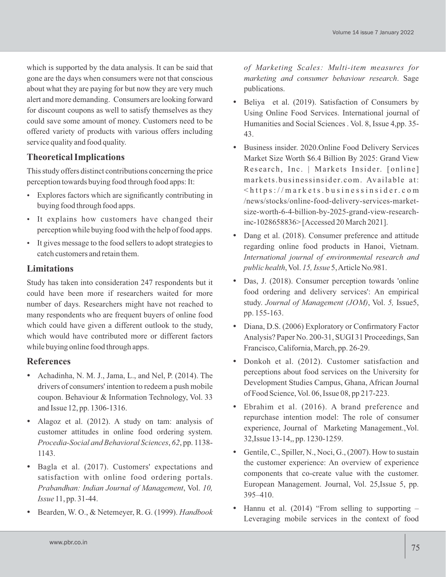which is supported by the data analysis. It can be said that gone are the days when consumers were not that conscious about what they are paying for but now they are very much alert and more demanding. Consumers are looking forward for discount coupons as well to satisfy themselves as they could save some amount of money. Customers need to be offered variety of products with various offers including service quality and food quality.

# **Theoretical Implications**

This study offers distinct contributions concerning the price perception towards buying food through food apps: It:

- Explores factors which are significantly contributing in buying food through food apps.
- It explains how customers have changed their perception while buying food with the help of food apps.
- It gives message to the food sellers to adopt strategies to catch customers and retain them.

# **Limitations**

Study has taken into consideration 247 respondents but it could have been more if researchers waited for more number of days. Researchers might have not reached to many respondents who are frequent buyers of online food which could have given a different outlook to the study, which would have contributed more or different factors while buying online food through apps.

### **References**

- Achadinha, N. M. J., Jama, L., and Nel, P. (2014). The drivers of consumers' intention to redeem a push mobile coupon. Behaviour & Information Technology, Vol. 33 and Issue 12, pp. 1306-1316.
- Alagoz et al. (2012). A study on tam: analysis of customer attitudes in online food ordering system. *Procedia-Social and Behavioral Sciences*, *62*, pp. 1138- 1143.
- Bagla et al. (2017). Customers' expectations and satisfaction with online food ordering portals. *Prabandhan: Indian Journal of Management*, Vol. *10, Issue* 11, pp. 31-44.
- Bearden, W. O., & Netemeyer, R. G. (1999). *Handbook*

*of Marketing Scales: Multi-item measures for marketing and consumer behaviour research*. Sage publications.

- Beliya et al. (2019). Satisfaction of Consumers by Using Online Food Services. International journal of Humanities and Social Sciences . Vol. 8, Issue 4,pp. 35- 43.
- Business insider. 2020.Online Food Delivery Services Market Size Worth \$6.4 Billion By 2025: Grand View Research, Inc. | Markets Insider. [online] markets.businessinsider.com. Available at:  $\frac{1}{\pi}$  / m arkets. businessinsider. com /news/stocks/online-food-delivery-services-marketsize-worth-6-4-billion-by-2025-grand-view-researchinc-1028658836> [Accessed 20 March 2021].
- Dang et al. (2018). Consumer preference and attitude regarding online food products in Hanoi, Vietnam. *International journal of environmental research and public health*, Vol. *15, Issue* 5, Article No.981.
- Das, J. (2018). Consumer perception towards 'online food ordering and delivery services': An empirical study. *Journal of Management (JOM)*, Vol. *5,* Issue5, pp. 155-163.
- Diana, D.S. (2006) Exploratory or Confirmatory Factor Analysis? Paper No. 200-31, SUGI 31 Proceedings, San Francisco, California, March, pp. 26-29.
- Donkoh et al. (2012). Customer satisfaction and perceptions about food services on the University for Development Studies Campus, Ghana, African Journal of Food Science, Vol. 06, Issue 08, pp 217-223.
- Ebrahim et al. (2016). A brand preference and repurchase intention model: The role of consumer experience, Journal of Marketing Management.,Vol. 32,Issue 13-14,, pp. 1230-1259.
- Gentile, C., Spiller, N., Noci, G., (2007). How to sustain the customer experience: An overview of experience components that co-create value with the customer. European Management. Journal, Vol. 25,Issue 5, pp. 395–410.
- Hannu et al. (2014) "From selling to supporting Leveraging mobile services in the context of food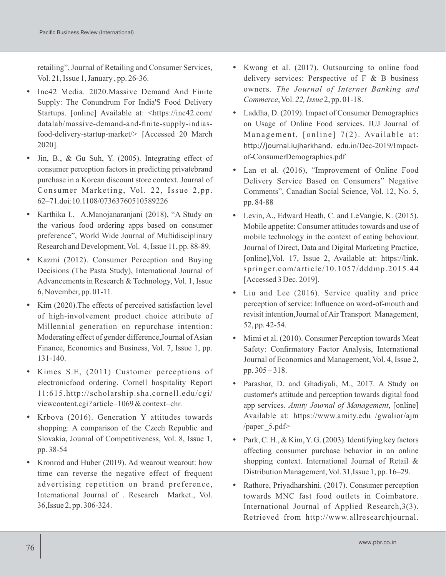retailing", Journal of Retailing and Consumer Services, Vol. 21, Issue 1, January , pp. 26-36.

- Inc42 Media. 2020.Massive Demand And Finite Supply: The Conundrum For India'S Food Delivery Startups. [online] Available at: <https://inc42.com/ datalab/massive-demand-and-finite-supply-indiasfood-delivery-startup-market/> [Accessed 20 March 2020].
- Jin, B., & Gu Suh, Y. (2005). Integrating effect of consumer perception factors in predicting privatebrand purchase in a Korean discount store context. Journal of Consumer Marketing, Vol. 22, Issue 2,pp. 62–71.doi:10.1108/07363760510589226
- Karthika I., A.Manojanaranjani (2018), "A Study on the various food ordering apps based on consumer preference", World Wide Journal of Multidisciplinary Research and Development, Vol. 4, Issue 11, pp. 88-89.
- Kazmi (2012). Consumer Perception and Buying Decisions (The Pasta Study), International Journal of Advancements in Research & Technology, Vol. 1, Issue 6, November, pp. 01-11.
- Kim (2020).The effects of perceived satisfaction level of high-involvement product choice attribute of Millennial generation on repurchase intention: Moderating effect of gender difference,Journal of Asian Finance, Economics and Business, Vol. 7, Issue 1, pp. 131-140.
- Kimes S.E, (2011) Customer perceptions of electronicfood ordering. Cornell hospitality Report 11:615.http://scholarship.sha.cornell.edu/cgi/ viewcontent.cgi? article=1069 & context=chr.
- Krbova (2016). Generation Y attitudes towards shopping: A comparison of the Czech Republic and Slovakia, Journal of Competitiveness, Vol. 8, Issue 1, pp. 38-54
- Kronrod and Huber (2019). Ad wearout wearout: how time can reverse the negative effect of frequent advertising repetition on brand preference, International Journal of . Research Market., Vol. 36,Issue 2, pp. 306-324.
- Kwong et al. (2017). Outsourcing to online food delivery services: Perspective of  $F \& B$  business owners. *The Journal of Internet Banking and Commerce*, Vol. *22, Issue* 2, pp. 01-18.
- Laddha, D. (2019). Impact of Consumer Demographics on Usage of Online Food services. IUJ Journal of Management, [online]  $7(2)$ . Available at: http://journal.iujharkhand. edu.in/Dec-2019/Impactof-ConsumerDemographics.pdf
- Lan et al. (2016), "Improvement of Online Food Delivery Service Based on Consumers" Negative Comments", Canadian Social Science, Vol. 12, No. 5, pp. 84-88
- Levin, A., Edward Heath, C. and LeVangie, K. (2015). Mobile appetite: Consumer attitudes towards and use of mobile technology in the context of eating behaviour. Journal of Direct, Data and Digital Marketing Practice, [online],Vol. 17, Issue 2, Available at: https://link. springer.com/article/10.1057/dddmp.2015.44 [Accessed 3 Dec. 2019].
- Liu and Lee (2016). Service quality and price perception of service: Influence on word-of-mouth and revisit intention,Journal of Air Transport Management, 52, pp. 42-54.
- Mimi et al. (2010). Consumer Perception towards Meat Safety: Confirmatory Factor Analysis, International Journal of Economics and Management, Vol. 4, Issue 2, pp. 305 – 318.
- Parashar, D. and Ghadiyali, M., 2017. A Study on customer's attitude and perception towards digital food app services. *Amity Journal of Management*, [online] Available at: https://www.amity.edu /gwalior/ajm /paper \_5.pdf>
- Park, C. H.,  $&$  Kim, Y. G. (2003). Identifying key factors affecting consumer purchase behavior in an online shopping context. International Journal of Retail & Distribution Management, Vol. 31,Issue 1, pp. 16–29.
- Rathore, Priyadharshini. (2017). Consumer perception towards MNC fast food outlets in Coimbatore. International Journal of Applied Research,3(3). Retrieved from http://www.allresearchjournal.